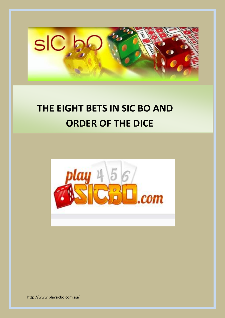

# **THE EIGHT BETS IN SIC BO AND ORDER OF THE DICE**



http://www.playsicbo.com.au/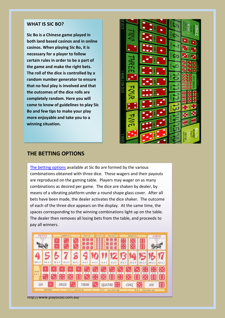#### **WHAT IS SIC BO?**

**Sic Bo is a Chinese game played in both land based casinos and in online casinos. When playing Sic Bo, it is necessary for a player to follow certain rules in order to be a part of the game and make the right bets. The roll of the dice is controlled by a random number generator to ensure that no foul play is involved and that the outcomes of the dice rolls are completely random. Here you will come to know of guidelines to play Sic Bo and few tips to make your play more enjoyable and take you to a winning situation.**



### **THE BETTING OPTIONS**

[The betting options](http://www.playsicbo.com.au/sic-bo-bets-and-payouts/) available at Sic Bo are formed by the various combinations obtained with three dice. These wagers and their payouts are reproduced on the gaming table. Players may wager on as many combinations as desired per game. The dice are shaken by dealer, by means of a vibrating platform under a round shape glass cover. After all bets have been made, the dealer activates the dice shaker. The outcome of each of the three dice appears on the display. At the same time, the spaces corresponding to the winning combinations light up on the table. The dealer then removes all losing bets from the table, and proceeds to pay all winners.



http://www.playsicbo.com.au/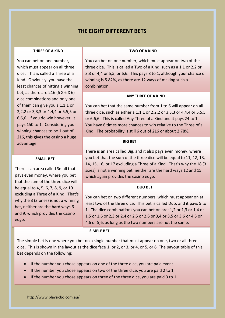## **THE EIGHT DIFFERENT BETS**

#### **THREE OF A KIND**

You can bet on one number, which must appear on all three dice. This is called a Three of a Kind. Obviously, you have the least chances of hitting a winning bet, as there are 216 (6 X 6 X 6) dice combinations and only one of them can give you a 1,1,1 or 2,2,2 or 3,3,3 or 4,4,4 or 5,5,5 or 6,6,6. If you do win however, it pays 150 to 1. Considering your winning chances to be 1 out of 216, this gives the casino a huge advantage.

#### **SMALL BET**

There is an area called Small that pays even money, where you bet that the sum of the three dice will be equal to 4, 5, 6, 7, 8, 9, or 10 excluding a Three of a Kind. That's why the 3 (3 ones) is not a winning bet, neither are the hard ways 6 and 9, which provides the casino edge.

#### **TWO OF A KIND**

You can bet on one number, which must appear on two of the three dice. This is called a Two of a Kind, such as a 1,1 or 2,2 or 3,3 or 4,4 or 5,5, or 6,6. This pays 8 to 1, although your chance of winning is 5.82%, as there are 12 ways of making such a combination.

#### **ANY THREE OF A KIND**

You can bet that the same number from 1 to 6 will appear on all three dice, such as either a 1,1,1 or 2,2,2 or 3,3,3 or 4,4,4 or 5,5,5 or 6,6,6. This is called Any Three of a Kind and it pays 24 to 1. You have 6 times more chances to win relative to the Three of a Kind. The probability is still 6 out of 216 or about 2.78%.

#### **BIG BET**

There is an area called Big, and it also pays even money, where you bet that the sum of the three dice will be equal to 11, 12, 13, 14, 15, 16, or 17 excluding a Three of a Kind. That's why the 18 (3 sixes) is not a winning bet, neither are the hard ways 12 and 15, which again provides the casino edge.

#### **DUO BET**

You can bet on two different numbers, which must appear on at least two of the three dice. This bet is called Duo, and it pays 5 to 1. The dice combinations you can bet on are: 1,2 or 1,3 or 1,4 or 1,5 or 1,6 or 2,3 or 2,4 or 2,5 or 2,6 or 3,4 or 3,5 or 3,6 or 4,5 or 4,6 or 5,6, as long as the two numbers are not the same.

#### **SIMPLE BET**

The simple bet is one where you bet on a single number that must appear on one, two or all three dice. This is shown in the layout as the dice face 1, or 2, or 3, or 4, or 5, or 6. The payout table of this bet depends on the following:

- If the number you chose appears on one of the three dice, you are paid even;
- If the number you chose appears on two of the three dice, you are paid 2 to 1;
- If the number you chose appears on three of the three dice, you are paid 3 to 1.

http://www.playsicbo.com.au/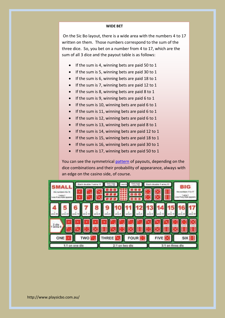#### **WIDE BET**

On the Sic Bo layout, there is a wide area with the numbers 4 to 17 written on them. Those numbers correspond to the sum of the three dice. So, you bet on a number from 4 to 17, which are the sum of all 3 dice and the payout table is as follows:

- If the sum is 4, winning bets are paid 50 to 1
- If the sum is 5, winning bets are paid 30 to 1
- $\bullet$  If the sum is 6, winning bets are paid 18 to 1
- If the sum is 7, winning bets are paid 12 to 1
- $\bullet$  If the sum is 8, winning bets are paid 8 to 1
- $\bullet$  If the sum is 9, winning bets are paid 6 to 1
- If the sum is 10, winning bets are paid 6 to 1
- $\bullet$  If the sum is 11, winning bets are paid 6 to 1
- $\bullet$  If the sum is 12, winning bets are paid 6 to 1
- $\bullet$  If the sum is 13, winning bets are paid 8 to 1
- If the sum is 14, winning bets are paid 12 to 1
- $\bullet$  If the sum is 15, winning bets are paid 18 to 1
- If the sum is 16, winning bets are paid 30 to 1
- $\bullet$  If the sum is 17, winning bets are paid 50 to 1

You can see the symmetrical [pattern](http://www.playsicbo.com.au/playing-sic-bo-know-your-favourite-betting-pattern/) of payouts, depending on the dice combinations and their probability of appearance, always with an edge on the casino side, of course.

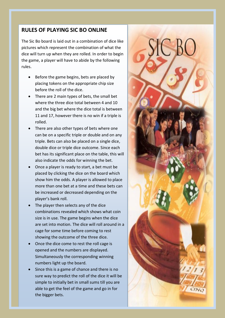## **RULES OF PLAYING SIC BO ONLINE**

The Sic Bo board is laid out in a combination of dice like pictures which represent the combination of what the dice will turn up when they are rolled. In order to begin the game, a player will have to abide by the following rules.

- Before the game begins, bets are placed by placing tokens on the appropriate chip size before the roll of the dice.
- There are 2 main types of bets, the small bet where the three dice total between 4 and 10 and the big bet where the dice total is between 11 and 17, however there is no win if a triple is rolled.
- There are also other types of bets where one can be on a specific triple or double and on any triple. Bets can also be placed on a single dice, double dice or triple dice outcome. Since each bet has its significant place on the table, this will also indicate the odds for winning the bet.
- Once a player is ready to start, a bet must be placed by clicking the dice on the board which show him the odds. A player is allowed to place more than one bet at a time and these bets can be increased or decreased depending on the player's bank roll.
- The player then selects any of the dice combinations revealed which shows what coin size is in use. The game begins when the dice are set into motion. The dice will roll around in a cage for some time before coming to rest showing the outcome of the three dice.
- Once the dice come to rest the roll cage is opened and the numbers are displayed. Simultaneously the corresponding winning numbers light up the board.
- the bigger bets. Since this is a game of chance and there is no sure way to predict the roll of the dice it will be simple to initially bet in small sums till you are able to get the feel of the game and go in for